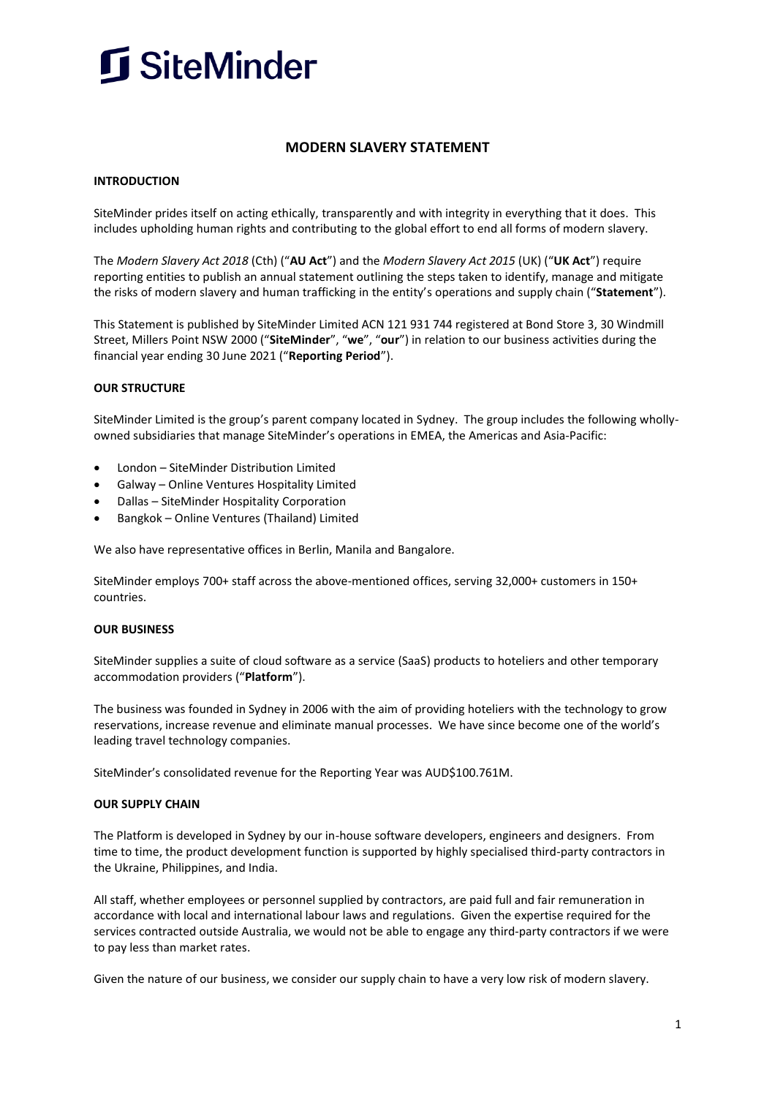

# **MODERN SLAVERY STATEMENT**

#### **INTRODUCTION**

SiteMinder prides itself on acting ethically, transparently and with integrity in everything that it does. This includes upholding human rights and contributing to the global effort to end all forms of modern slavery.

The *Modern Slavery Act 2018* (Cth) ("**AU Act**") and the *Modern Slavery Act 2015* (UK) ("**UK Act**") require reporting entities to publish an annual statement outlining the steps taken to identify, manage and mitigate the risks of modern slavery and human trafficking in the entity's operations and supply chain ("**Statement**").

This Statement is published by SiteMinder Limited ACN 121 931 744 registered at Bond Store 3, 30 Windmill Street, Millers Point NSW 2000 ("**SiteMinder**", "**we**", "**our**") in relation to our business activities during the financial year ending 30 June 2021 ("**Reporting Period**").

#### **OUR STRUCTURE**

SiteMinder Limited is the group's parent company located in Sydney. The group includes the following whollyowned subsidiaries that manage SiteMinder's operations in EMEA, the Americas and Asia-Pacific:

- London SiteMinder Distribution Limited
- Galway Online Ventures Hospitality Limited
- Dallas SiteMinder Hospitality Corporation
- Bangkok Online Ventures (Thailand) Limited

We also have representative offices in Berlin, Manila and Bangalore.

SiteMinder employs 700+ staff across the above-mentioned offices, serving 32,000+ customers in 150+ countries.

#### **OUR BUSINESS**

SiteMinder supplies a suite of cloud software as a service (SaaS) products to hoteliers and other temporary accommodation providers ("**Platform**").

The business was founded in Sydney in 2006 with the aim of providing hoteliers with the technology to grow reservations, increase revenue and eliminate manual processes. We have since become one of the world's leading travel technology companies.

SiteMinder's consolidated revenue for the Reporting Year was AUD\$100.761M.

#### **OUR SUPPLY CHAIN**

The Platform is developed in Sydney by our in-house software developers, engineers and designers. From time to time, the product development function is supported by highly specialised third-party contractors in the Ukraine, Philippines, and India.

All staff, whether employees or personnel supplied by contractors, are paid full and fair remuneration in accordance with local and international labour laws and regulations. Given the expertise required for the services contracted outside Australia, we would not be able to engage any third-party contractors if we were to pay less than market rates.

Given the nature of our business, we consider our supply chain to have a very low risk of modern slavery.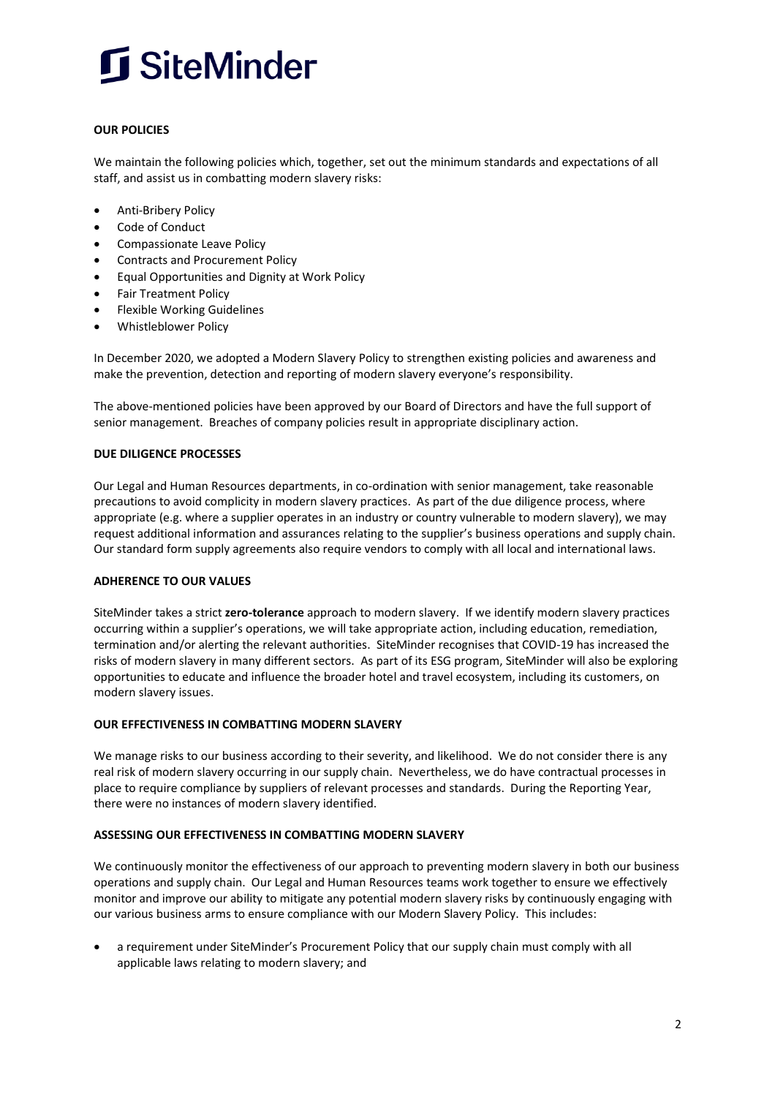

### **OUR POLICIES**

We maintain the following policies which, together, set out the minimum standards and expectations of all staff, and assist us in combatting modern slavery risks:

- Anti-Bribery Policy
- Code of Conduct
- Compassionate Leave Policy
- Contracts and Procurement Policy
- Equal Opportunities and Dignity at Work Policy
- Fair Treatment Policy
- Flexible Working Guidelines
- Whistleblower Policy

In December 2020, we adopted a Modern Slavery Policy to strengthen existing policies and awareness and make the prevention, detection and reporting of modern slavery everyone's responsibility.

The above-mentioned policies have been approved by our Board of Directors and have the full support of senior management. Breaches of company policies result in appropriate disciplinary action.

#### **DUE DILIGENCE PROCESSES**

Our Legal and Human Resources departments, in co-ordination with senior management, take reasonable precautions to avoid complicity in modern slavery practices. As part of the due diligence process, where appropriate (e.g. where a supplier operates in an industry or country vulnerable to modern slavery), we may request additional information and assurances relating to the supplier's business operations and supply chain. Our standard form supply agreements also require vendors to comply with all local and international laws.

#### **ADHERENCE TO OUR VALUES**

SiteMinder takes a strict **zero-tolerance** approach to modern slavery.If we identify modern slavery practices occurring within a supplier's operations, we will take appropriate action, including education, remediation, termination and/or alerting the relevant authorities. SiteMinder recognises that COVID-19 has increased the risks of modern slavery in many different sectors. As part of its ESG program, SiteMinder will also be exploring opportunities to educate and influence the broader hotel and travel ecosystem, including its customers, on modern slavery issues.

#### **OUR EFFECTIVENESS IN COMBATTING MODERN SLAVERY**

We manage risks to our business according to their severity, and likelihood. We do not consider there is any real risk of modern slavery occurring in our supply chain. Nevertheless, we do have contractual processes in place to require compliance by suppliers of relevant processes and standards. During the Reporting Year, there were no instances of modern slavery identified.

#### **ASSESSING OUR EFFECTIVENESS IN COMBATTING MODERN SLAVERY**

We continuously monitor the effectiveness of our approach to preventing modern slavery in both our business operations and supply chain. Our Legal and Human Resources teams work together to ensure we effectively monitor and improve our ability to mitigate any potential modern slavery risks by continuously engaging with our various business arms to ensure compliance with our Modern Slavery Policy. This includes:

• a requirement under SiteMinder's Procurement Policy that our supply chain must comply with all applicable laws relating to modern slavery; and